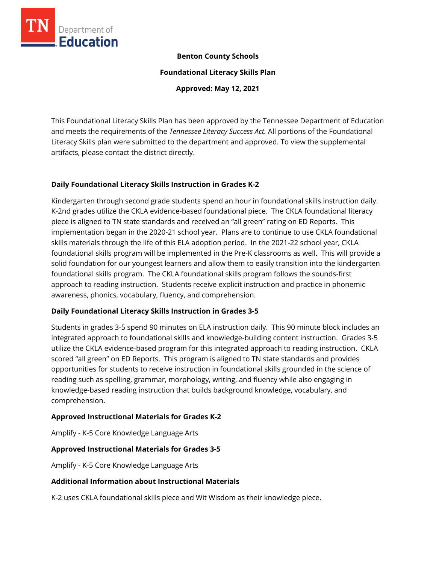

## **Benton County Schools**

**Foundational Literacy Skills Plan**

**Approved: May 12, 2021**

This Foundational Literacy Skills Plan has been approved by the Tennessee Department of Education and meets the requirements of the *Tennessee Literacy Success Act.* All portions of the Foundational Literacy Skills plan were submitted to the department and approved. To view the supplemental artifacts, please contact the district directly.

## **Daily Foundational Literacy Skills Instruction in Grades K-2**

Kindergarten through second grade students spend an hour in foundational skills instruction daily. K-2nd grades utilize the CKLA evidence-based foundational piece. The CKLA foundational literacy piece is aligned to TN state standards and received an "all green" rating on ED Reports. This implementation began in the 2020-21 school year. Plans are to continue to use CKLA foundational skills materials through the life of this ELA adoption period. In the 2021-22 school year, CKLA foundational skills program will be implemented in the Pre-K classrooms as well. This will provide a solid foundation for our youngest learners and allow them to easily transition into the kindergarten foundational skills program. The CKLA foundational skills program follows the sounds-first approach to reading instruction. Students receive explicit instruction and practice in phonemic awareness, phonics, vocabulary, fluency, and comprehension.

## **Daily Foundational Literacy Skills Instruction in Grades 3-5**

Students in grades 3-5 spend 90 minutes on ELA instruction daily. This 90 minute block includes an integrated approach to foundational skills and knowledge-building content instruction. Grades 3-5 utilize the CKLA evidence-based program for this integrated approach to reading instruction. CKLA scored "all green" on ED Reports. This program is aligned to TN state standards and provides opportunities for students to receive instruction in foundational skills grounded in the science of reading such as spelling, grammar, morphology, writing, and fluency while also engaging in knowledge-based reading instruction that builds background knowledge, vocabulary, and comprehension.

## **Approved Instructional Materials for Grades K-2**

Amplify - K-5 Core Knowledge Language Arts

#### **Approved Instructional Materials for Grades 3-5**

Amplify - K-5 Core Knowledge Language Arts

#### **Additional Information about Instructional Materials**

K-2 uses CKLA foundational skills piece and Wit Wisdom as their knowledge piece.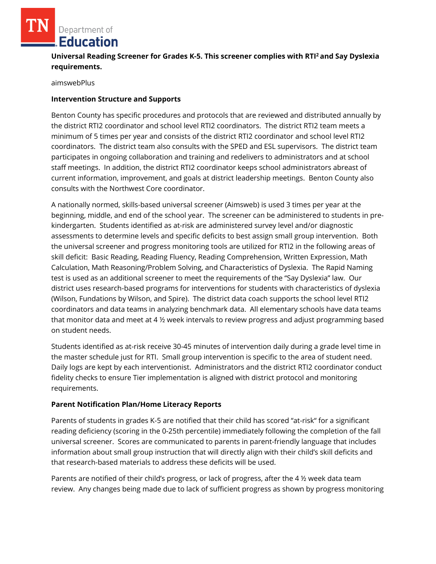Department of **Education** 

# **Universal Reading Screener for Grades K-5. This screener complies with RTI<sup>2</sup>and Say Dyslexia requirements.**

aimswebPlus

#### **Intervention Structure and Supports**

Benton County has specific procedures and protocols that are reviewed and distributed annually by the district RTI2 coordinator and school level RTI2 coordinators. The district RTI2 team meets a minimum of 5 times per year and consists of the district RTI2 coordinator and school level RTI2 coordinators. The district team also consults with the SPED and ESL supervisors. The district team participates in ongoing collaboration and training and redelivers to administrators and at school staff meetings. In addition, the district RTI2 coordinator keeps school administrators abreast of current information, improvement, and goals at district leadership meetings. Benton County also consults with the Northwest Core coordinator.

A nationally normed, skills-based universal screener (Aimsweb) is used 3 times per year at the beginning, middle, and end of the school year. The screener can be administered to students in prekindergarten. Students identified as at-risk are administered survey level and/or diagnostic assessments to determine levels and specific deficits to best assign small group intervention. Both the universal screener and progress monitoring tools are utilized for RTI2 in the following areas of skill deficit: Basic Reading, Reading Fluency, Reading Comprehension, Written Expression, Math Calculation, Math Reasoning/Problem Solving, and Characteristics of Dyslexia. The Rapid Naming test is used as an additional screener to meet the requirements of the "Say Dyslexia" law. Our district uses research-based programs for interventions for students with characteristics of dyslexia (Wilson, Fundations by Wilson, and Spire). The district data coach supports the school level RTI2 coordinators and data teams in analyzing benchmark data. All elementary schools have data teams that monitor data and meet at 4 ½ week intervals to review progress and adjust programming based on student needs.

Students identified as at-risk receive 30-45 minutes of intervention daily during a grade level time in the master schedule just for RTI. Small group intervention is specific to the area of student need. Daily logs are kept by each interventionist. Administrators and the district RTI2 coordinator conduct fidelity checks to ensure Tier implementation is aligned with district protocol and monitoring requirements.

## **Parent Notification Plan/Home Literacy Reports**

Parents of students in grades K-5 are notified that their child has scored "at-risk" for a significant reading deficiency (scoring in the 0-25th percentile) immediately following the completion of the fall universal screener. Scores are communicated to parents in parent-friendly language that includes information about small group instruction that will directly align with their child's skill deficits and that research-based materials to address these deficits will be used.

Parents are notified of their child's progress, or lack of progress, after the 4 ½ week data team review. Any changes being made due to lack of sufficient progress as shown by progress monitoring